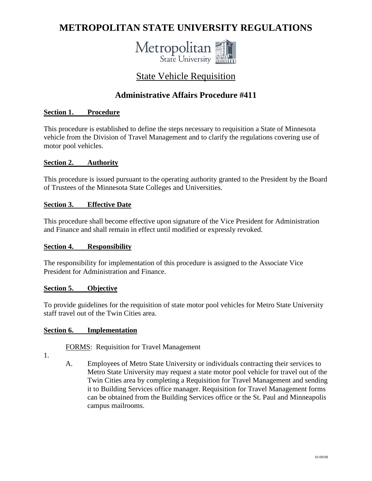# **METROPOLITAN STATE UNIVERSITY REGULATIONS**



# State Vehicle Requisition

# **Administrative Affairs Procedure #411**

### **Section 1. Procedure**

This procedure is established to define the steps necessary to requisition a State of Minnesota vehicle from the Division of Travel Management and to clarify the regulations covering use of motor pool vehicles.

#### **Section 2. Authority**

This procedure is issued pursuant to the operating authority granted to the President by the Board of Trustees of the Minnesota State Colleges and Universities.

#### **Section 3. Effective Date**

This procedure shall become effective upon signature of the Vice President for Administration and Finance and shall remain in effect until modified or expressly revoked.

#### **Section 4. Responsibility**

The responsibility for implementation of this procedure is assigned to the Associate Vice President for Administration and Finance.

#### **Section 5. Objective**

To provide guidelines for the requisition of state motor pool vehicles for Metro State University staff travel out of the Twin Cities area.

#### **Section 6. Implementation**

FORMS: Requisition for Travel Management

- 1.
- A. Employees of Metro State University or individuals contracting their services to Metro State University may request a state motor pool vehicle for travel out of the Twin Cities area by completing a Requisition for Travel Management and sending it to Building Services office manager. Requisition for Travel Management forms can be obtained from the Building Services office or the St. Paul and Minneapolis campus mailrooms.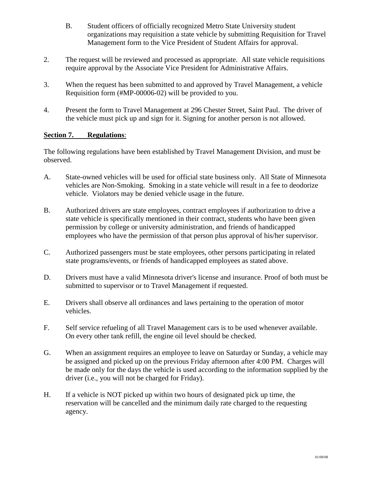- B. Student officers of officially recognized Metro State University student organizations may requisition a state vehicle by submitting Requisition for Travel Management form to the Vice President of Student Affairs for approval.
- 2. The request will be reviewed and processed as appropriate. All state vehicle requisitions require approval by the Associate Vice President for Administrative Affairs.
- 3. When the request has been submitted to and approved by Travel Management, a vehicle Requisition form (#MP-00006-02) will be provided to you.
- 4. Present the form to Travel Management at 296 Chester Street, Saint Paul. The driver of the vehicle must pick up and sign for it. Signing for another person is not allowed.

### **Section 7. Regulations**:

The following regulations have been established by Travel Management Division, and must be observed.

- A. State-owned vehicles will be used for official state business only. All State of Minnesota vehicles are Non-Smoking. Smoking in a state vehicle will result in a fee to deodorize vehicle. Violators may be denied vehicle usage in the future.
- B. Authorized drivers are state employees, contract employees if authorization to drive a state vehicle is specifically mentioned in their contract, students who have been given permission by college or university administration, and friends of handicapped employees who have the permission of that person plus approval of his/her supervisor.
- C. Authorized passengers must be state employees, other persons participating in related state programs/events, or friends of handicapped employees as stated above.
- D. Drivers must have a valid Minnesota driver's license and insurance. Proof of both must be submitted to supervisor or to Travel Management if requested.
- E. Drivers shall observe all ordinances and laws pertaining to the operation of motor vehicles.
- F. Self service refueling of all Travel Management cars is to be used whenever available. On every other tank refill, the engine oil level should be checked.
- G. When an assignment requires an employee to leave on Saturday or Sunday, a vehicle may be assigned and picked up on the previous Friday afternoon after 4:00 PM. Charges will be made only for the days the vehicle is used according to the information supplied by the driver (i.e., you will not be charged for Friday).
- H. If a vehicle is NOT picked up within two hours of designated pick up time, the reservation will be cancelled and the minimum daily rate charged to the requesting agency.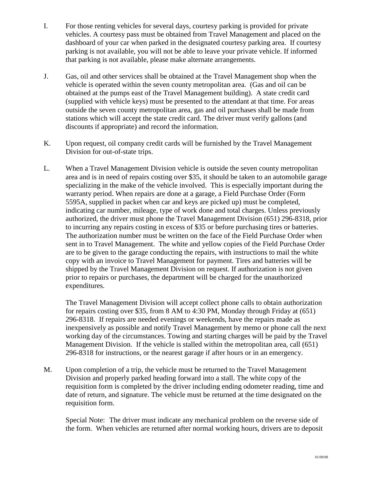- I. For those renting vehicles for several days, courtesy parking is provided for private vehicles. A courtesy pass must be obtained from Travel Management and placed on the dashboard of your car when parked in the designated courtesy parking area. If courtesy parking is not available, you will not be able to leave your private vehicle. If informed that parking is not available, please make alternate arrangements.
- J. Gas, oil and other services shall be obtained at the Travel Management shop when the vehicle is operated within the seven county metropolitan area. (Gas and oil can be obtained at the pumps east of the Travel Management building). A state credit card (supplied with vehicle keys) must be presented to the attendant at that time. For areas outside the seven county metropolitan area, gas and oil purchases shall be made from stations which will accept the state credit card. The driver must verify gallons (and discounts if appropriate) and record the information.
- K. Upon request, oil company credit cards will be furnished by the Travel Management Division for out-of-state trips.
- L. When a Travel Management Division vehicle is outside the seven county metropolitan area and is in need of repairs costing over \$35, it should be taken to an automobile garage specializing in the make of the vehicle involved. This is especially important during the warranty period. When repairs are done at a garage, a Field Purchase Order (Form 5595A, supplied in packet when car and keys are picked up) must be completed, indicating car number, mileage, type of work done and total charges. Unless previously authorized, the driver must phone the Travel Management Division (651) 296-8318, prior to incurring any repairs costing in excess of \$35 or before purchasing tires or batteries. The authorization number must be written on the face of the Field Purchase Order when sent in to Travel Management. The white and yellow copies of the Field Purchase Order are to be given to the garage conducting the repairs, with instructions to mail the white copy with an invoice to Travel Management for payment. Tires and batteries will be shipped by the Travel Management Division on request. If authorization is not given prior to repairs or purchases, the department will be charged for the unauthorized expenditures.

The Travel Management Division will accept collect phone calls to obtain authorization for repairs costing over \$35, from 8 AM to 4:30 PM, Monday through Friday at (651) 296-8318. If repairs are needed evenings or weekends, have the repairs made as inexpensively as possible and notify Travel Management by memo or phone call the next working day of the circumstances. Towing and starting charges will be paid by the Travel Management Division. If the vehicle is stalled within the metropolitan area, call (651) 296-8318 for instructions, or the nearest garage if after hours or in an emergency.

M. Upon completion of a trip, the vehicle must be returned to the Travel Management Division and properly parked heading forward into a stall. The white copy of the requisition form is completed by the driver including ending odometer reading, time and date of return, and signature. The vehicle must be returned at the time designated on the requisition form.

Special Note: The driver must indicate any mechanical problem on the reverse side of the form. When vehicles are returned after normal working hours, drivers are to deposit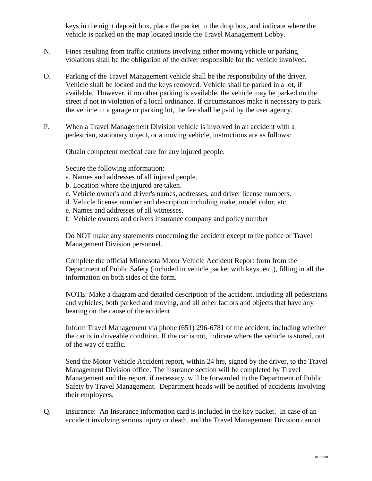keys in the night deposit box, place the packet in the drop box, and indicate where the vehicle is parked on the map located inside the Travel Management Lobby.

- N. Fines resulting from traffic citations involving either moving vehicle or parking violations shall be the obligation of the driver responsible for the vehicle involved.
- O. Parking of the Travel Management vehicle shall be the responsibility of the driver. Vehicle shall be locked and the keys removed. Vehicle shall be parked in a lot, if available. However, if no other parking is available, the vehicle may be parked on the street if not in violation of a local ordinance. If circumstances make it necessary to park the vehicle in a garage or parking lot, the fee shall be paid by the user agency.
- P. When a Travel Management Division vehicle is involved in an accident with a pedestrian, stationary object, or a moving vehicle, instructions are as follows:

Obtain competent medical care for any injured people.

Secure the following information:

- a. Names and addresses of all injured people.
- b. Location where the injured are taken.
- c. Vehicle owner's and driver's names, addresses, and driver license numbers.
- d. Vehicle license number and description including make, model color, etc.
- e. Names and addresses of all witnesses.
- f. Vehicle owners and drivers insurance company and policy number

Do NOT make any statements concerning the accident except to the police or Travel Management Division personnel.

Complete the official Minnesota Motor Vehicle Accident Report form from the Department of Public Safety (included in vehicle packet with keys, etc.), filling in all the information on both sides of the form.

NOTE: Make a diagram and detailed description of the accident, including all pedestrians and vehicles, both parked and moving, and all other factors and objects that have any bearing on the cause of the accident.

Inform Travel Management via phone (651) 296-6781 of the accident, including whether the car is in driveable condition. If the car is not, indicate where the vehicle is stored, out of the way of traffic.

Send the Motor Vehicle Accident report, within 24 hrs, signed by the driver, to the Travel Management Division office. The insurance section will be completed by Travel Management and the report, if necessary, will be forwarded to the Department of Public Safety by Travel Management. Department heads will be notified of accidents involving their employees.

Q. Insurance: An Insurance information card is included in the key packet. In case of an accident involving serious injury or death, and the Travel Management Division cannot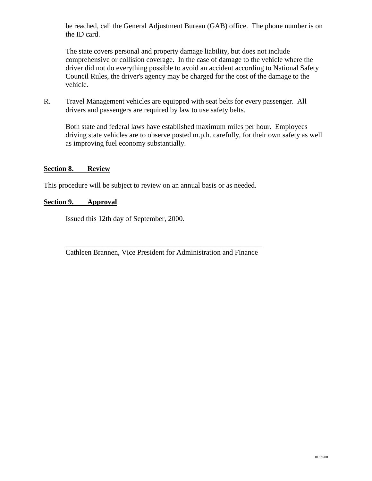be reached, call the General Adjustment Bureau (GAB) office. The phone number is on the ID card.

The state covers personal and property damage liability, but does not include comprehensive or collision coverage. In the case of damage to the vehicle where the driver did not do everything possible to avoid an accident according to National Safety Council Rules, the driver's agency may be charged for the cost of the damage to the vehicle.

R. Travel Management vehicles are equipped with seat belts for every passenger. All drivers and passengers are required by law to use safety belts.

Both state and federal laws have established maximum miles per hour. Employees driving state vehicles are to observe posted m.p.h. carefully, for their own safety as well as improving fuel economy substantially.

#### **Section 8. Review**

This procedure will be subject to review on an annual basis or as needed.

#### **Section 9. Approval**

Issued this 12th day of September, 2000.

\_\_\_\_\_\_\_\_\_\_\_\_\_\_\_\_\_\_\_\_\_\_\_\_\_\_\_\_\_\_\_\_\_\_\_\_\_\_\_\_\_\_\_\_\_\_\_\_\_\_\_\_\_\_ Cathleen Brannen, Vice President for Administration and Finance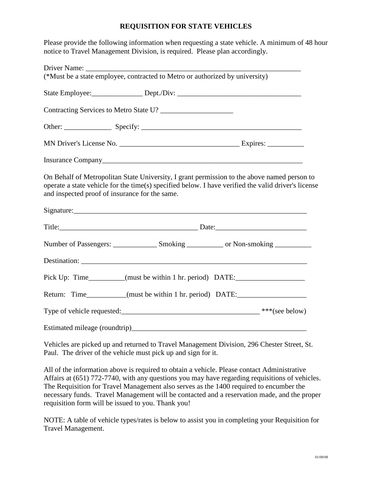#### **REQUISITION FOR STATE VEHICLES**

Please provide the following information when requesting a state vehicle. A minimum of 48 hour notice to Travel Management Division, is required. Please plan accordingly.

|                                                | (*Must be a state employee, contracted to Metro or authorized by university)                                                                                                                       |  |  |
|------------------------------------------------|----------------------------------------------------------------------------------------------------------------------------------------------------------------------------------------------------|--|--|
|                                                |                                                                                                                                                                                                    |  |  |
|                                                |                                                                                                                                                                                                    |  |  |
|                                                |                                                                                                                                                                                                    |  |  |
|                                                |                                                                                                                                                                                                    |  |  |
|                                                |                                                                                                                                                                                                    |  |  |
| and inspected proof of insurance for the same. | On Behalf of Metropolitan State University, I grant permission to the above named person to<br>operate a state vehicle for the time(s) specified below. I have verified the valid driver's license |  |  |
|                                                |                                                                                                                                                                                                    |  |  |
|                                                |                                                                                                                                                                                                    |  |  |
|                                                |                                                                                                                                                                                                    |  |  |
|                                                |                                                                                                                                                                                                    |  |  |
|                                                | Pick Up: Time_________(must be within 1 hr. period) DATE:_______________________                                                                                                                   |  |  |
|                                                | Return: Time_________(must be within 1 hr. period) DATE:________________________                                                                                                                   |  |  |
|                                                |                                                                                                                                                                                                    |  |  |
|                                                |                                                                                                                                                                                                    |  |  |

Vehicles are picked up and returned to Travel Management Division, 296 Chester Street, St. Paul. The driver of the vehicle must pick up and sign for it.

All of the information above is required to obtain a vehicle. Please contact Administrative Affairs at (651) 772-7740, with any questions you may have regarding requisitions of vehicles. The Requisition for Travel Management also serves as the 1400 required to encumber the necessary funds. Travel Management will be contacted and a reservation made, and the proper requisition form will be issued to you. Thank you!

NOTE: A table of vehicle types/rates is below to assist you in completing your Requisition for Travel Management.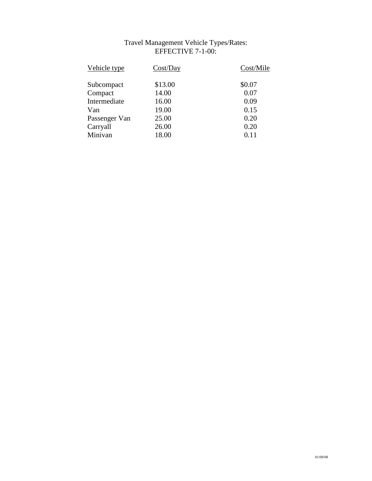## Travel Management Vehicle Types/Rates: EFFECTIVE 7-1-00:

| Vehicle type  | Cost/Day | Cost/Mile |
|---------------|----------|-----------|
| Subcompact    | \$13.00  | \$0.07    |
| Compact       | 14.00    | 0.07      |
| Intermediate  | 16.00    | 0.09      |
| Van           | 19.00    | 0.15      |
| Passenger Van | 25.00    | 0.20      |
| Carryall      | 26.00    | 0.20      |
| Minivan       | 18.00    | 0.11      |